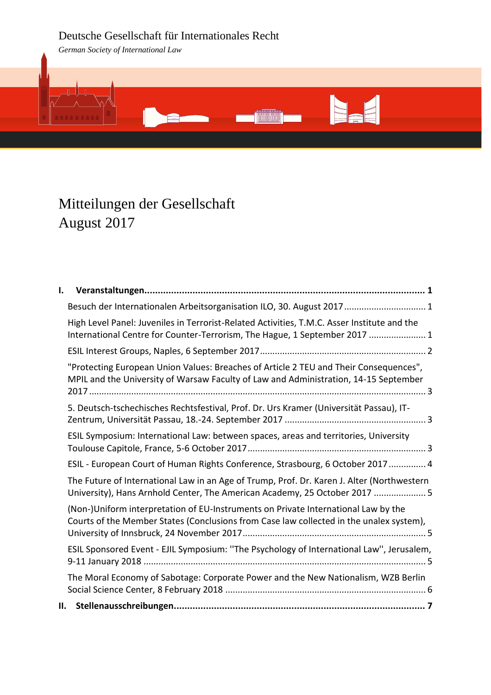# Deutsche Gesellschaft für Internationales Recht

*German Society of International Law*



# Mitteilungen der Gesellschaft August 2017

| ı. |                                                                                                                                                                               |
|----|-------------------------------------------------------------------------------------------------------------------------------------------------------------------------------|
|    | Besuch der Internationalen Arbeitsorganisation ILO, 30. August 2017  1                                                                                                        |
|    | High Level Panel: Juveniles in Terrorist-Related Activities, T.M.C. Asser Institute and the<br>International Centre for Counter-Terrorism, The Hague, 1 September 2017  1     |
|    |                                                                                                                                                                               |
|    | "Protecting European Union Values: Breaches of Article 2 TEU and Their Consequences",<br>MPIL and the University of Warsaw Faculty of Law and Administration, 14-15 September |
|    | 5. Deutsch-tschechisches Rechtsfestival, Prof. Dr. Urs Kramer (Universität Passau), IT-                                                                                       |
|    | ESIL Symposium: International Law: between spaces, areas and territories, University                                                                                          |
|    | ESIL - European Court of Human Rights Conference, Strasbourg, 6 October 2017  4                                                                                               |
|    | The Future of International Law in an Age of Trump, Prof. Dr. Karen J. Alter (Northwestern<br>University), Hans Arnhold Center, The American Academy, 25 October 2017  5      |
|    | (Non-)Uniform interpretation of EU-Instruments on Private International Law by the<br>Courts of the Member States (Conclusions from Case law collected in the unalex system), |
|    | ESIL Sponsored Event - EJIL Symposium: "The Psychology of International Law", Jerusalem,                                                                                      |
|    | The Moral Economy of Sabotage: Corporate Power and the New Nationalism, WZB Berlin                                                                                            |
|    |                                                                                                                                                                               |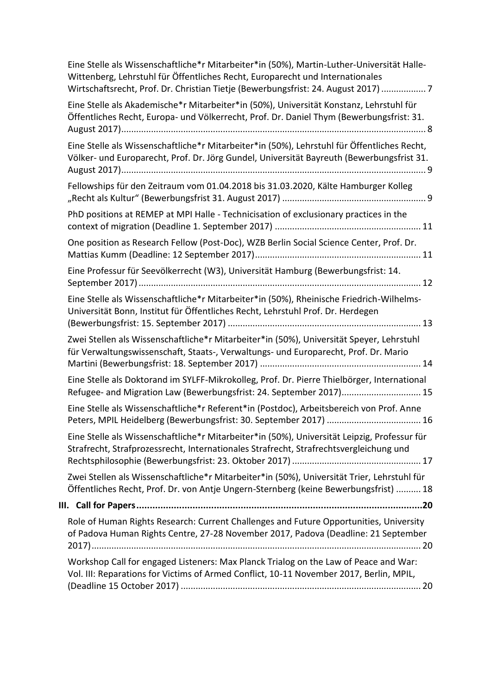| Eine Stelle als Wissenschaftliche*r Mitarbeiter*in (50%), Martin-Luther-Universität Halle-<br>Wittenberg, Lehrstuhl für Öffentliches Recht, Europarecht und Internationales<br>Wirtschaftsrecht, Prof. Dr. Christian Tietje (Bewerbungsfrist: 24. August 2017)  7 |  |  |
|-------------------------------------------------------------------------------------------------------------------------------------------------------------------------------------------------------------------------------------------------------------------|--|--|
| Eine Stelle als Akademische*r Mitarbeiter*in (50%), Universität Konstanz, Lehrstuhl für<br>Öffentliches Recht, Europa- und Völkerrecht, Prof. Dr. Daniel Thym (Bewerbungsfrist: 31.                                                                               |  |  |
| Eine Stelle als Wissenschaftliche*r Mitarbeiter*in (50%), Lehrstuhl für Öffentliches Recht,<br>Völker- und Europarecht, Prof. Dr. Jörg Gundel, Universität Bayreuth (Bewerbungsfrist 31.                                                                          |  |  |
| Fellowships für den Zeitraum vom 01.04.2018 bis 31.03.2020, Kälte Hamburger Kolleg                                                                                                                                                                                |  |  |
| PhD positions at REMEP at MPI Halle - Technicisation of exclusionary practices in the                                                                                                                                                                             |  |  |
| One position as Research Fellow (Post-Doc), WZB Berlin Social Science Center, Prof. Dr.                                                                                                                                                                           |  |  |
| Eine Professur für Seevölkerrecht (W3), Universität Hamburg (Bewerbungsfrist: 14.                                                                                                                                                                                 |  |  |
| Eine Stelle als Wissenschaftliche*r Mitarbeiter*in (50%), Rheinische Friedrich-Wilhelms-<br>Universität Bonn, Institut für Öffentliches Recht, Lehrstuhl Prof. Dr. Herdegen                                                                                       |  |  |
| Zwei Stellen als Wissenschaftliche*r Mitarbeiter*in (50%), Universität Speyer, Lehrstuhl<br>für Verwaltungswissenschaft, Staats-, Verwaltungs- und Europarecht, Prof. Dr. Mario                                                                                   |  |  |
| Eine Stelle als Doktorand im SYLFF-Mikrokolleg, Prof. Dr. Pierre Thielbörger, International<br>Refugee- and Migration Law (Bewerbungsfrist: 24. September 2017) 15                                                                                                |  |  |
| Eine Stelle als Wissenschaftliche*r Referent*in (Postdoc), Arbeitsbereich von Prof. Anne                                                                                                                                                                          |  |  |
| Eine Stelle als Wissenschaftliche*r Mitarbeiter*in (50%), Universität Leipzig, Professur für<br>Strafrecht, Strafprozessrecht, Internationales Strafrecht, Strafrechtsvergleichung und                                                                            |  |  |
| Zwei Stellen als Wissenschaftliche*r Mitarbeiter*in (50%), Universität Trier, Lehrstuhl für<br>Öffentliches Recht, Prof. Dr. von Antje Ungern-Sternberg (keine Bewerbungsfrist)  18                                                                               |  |  |
|                                                                                                                                                                                                                                                                   |  |  |
| Role of Human Rights Research: Current Challenges and Future Opportunities, University<br>of Padova Human Rights Centre, 27-28 November 2017, Padova (Deadline: 21 September                                                                                      |  |  |
| Workshop Call for engaged Listeners: Max Planck Trialog on the Law of Peace and War:<br>Vol. III: Reparations for Victims of Armed Conflict, 10-11 November 2017, Berlin, MPIL,                                                                                   |  |  |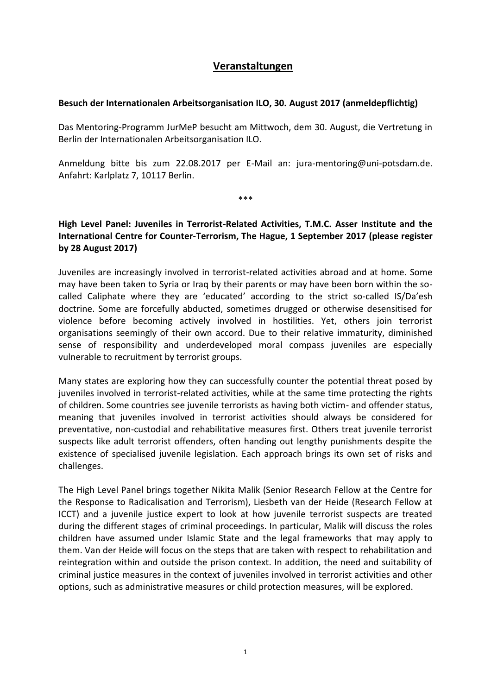# **Veranstaltungen**

# <span id="page-2-1"></span><span id="page-2-0"></span>**Besuch der Internationalen Arbeitsorganisation ILO, 30. August 2017 (anmeldepflichtig)**

Das Mentoring-Programm JurMeP besucht am Mittwoch, dem 30. August, die Vertretung in Berlin der Internationalen Arbeitsorganisation ILO.

Anmeldung bitte bis zum 22.08.2017 per E-Mail an: jura-mentoring@uni-potsdam.de. Anfahrt: Karlplatz 7, 10117 Berlin.

\*\*\*

# <span id="page-2-2"></span>**High Level Panel: Juveniles in Terrorist-Related Activities, T.M.C. Asser Institute and the International Centre for Counter-Terrorism, The Hague, 1 September 2017 (please register by 28 August 2017)**

Juveniles are increasingly involved in terrorist-related activities abroad and at home. Some may have been taken to Syria or Iraq by their parents or may have been born within the socalled Caliphate where they are 'educated' according to the strict so-called IS/Da'esh doctrine. Some are forcefully abducted, sometimes drugged or otherwise desensitised for violence before becoming actively involved in hostilities. Yet, others join terrorist organisations seemingly of their own accord. Due to their relative immaturity, diminished sense of responsibility and underdeveloped moral compass juveniles are especially vulnerable to recruitment by terrorist groups.

Many states are exploring how they can successfully counter the potential threat posed by juveniles involved in terrorist-related activities, while at the same time protecting the rights of children. Some countries see juvenile terrorists as having both victim- and offender status, meaning that juveniles involved in terrorist activities should always be considered for preventative, non-custodial and rehabilitative measures first. Others treat juvenile terrorist suspects like adult terrorist offenders, often handing out lengthy punishments despite the existence of specialised juvenile legislation. Each approach brings its own set of risks and challenges.

The High Level Panel brings together Nikita Malik (Senior Research Fellow at the Centre for the Response to Radicalisation and Terrorism), Liesbeth van der Heide (Research Fellow at ICCT) and a juvenile justice expert to look at how juvenile terrorist suspects are treated during the different stages of criminal proceedings. In particular, Malik will discuss the roles children have assumed under Islamic State and the legal frameworks that may apply to them. Van der Heide will focus on the steps that are taken with respect to rehabilitation and reintegration within and outside the prison context. In addition, the need and suitability of criminal justice measures in the context of juveniles involved in terrorist activities and other options, such as administrative measures or child protection measures, will be explored.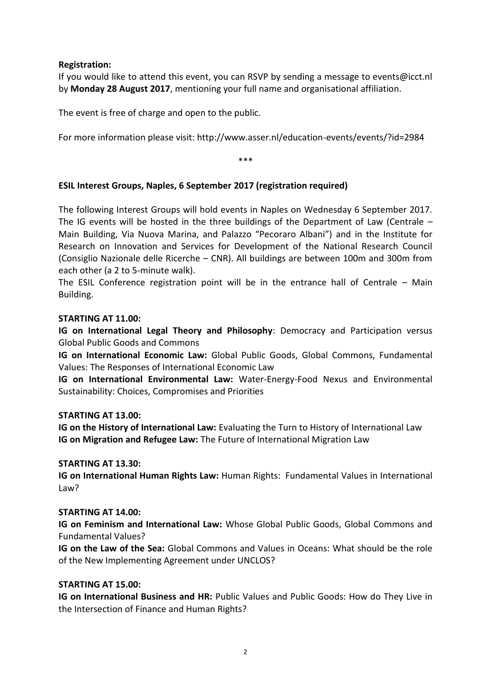# **Registration:**

If you would like to attend this event, you can RSVP by sending a message to events@icct.nl by **Monday 28 August 2017**, mentioning your full name and organisational affiliation.

The event is free of charge and open to the public.

For more information please visit: http://www.asser.nl/education-events/events/?id=2984

\*\*\*

# <span id="page-3-0"></span>**ESIL Interest Groups, Naples, 6 September 2017 (registration required)**

The following Interest Groups will hold events in Naples on Wednesday 6 September 2017. The IG events will be hosted in the three buildings of the Department of Law (Centrale – Main Building, Via Nuova Marina, and Palazzo "Pecoraro Albani") and in the Institute for Research on Innovation and Services for Development of the National Research Council (Consiglio Nazionale delle Ricerche – CNR). All buildings are between 100m and 300m from each other (a 2 to 5-minute walk).

The ESIL Conference registration point will be in the entrance hall of Centrale – Main Building.

# **STARTING AT 11.00:**

**IG on International Legal Theory and Philosophy**: Democracy and Participation versus Global Public Goods and Commons

**IG on International Economic Law:** Global Public Goods, Global Commons, Fundamental Values: The Responses of International Economic Law

**IG on International Environmental Law:** Water-Energy-Food Nexus and Environmental Sustainability: Choices, Compromises and Priorities

### **STARTING AT 13.00:**

**IG on the History of International Law:** Evaluating the Turn to History of International Law **IG on Migration and Refugee Law:** The Future of International Migration Law

### **STARTING AT 13.30:**

**IG on International Human Rights Law:** Human Rights: Fundamental Values in International Law?

### **STARTING AT 14.00:**

**IG on Feminism and International Law:** Whose Global Public Goods, Global Commons and Fundamental Values?

**IG on the Law of the Sea:** Global Commons and Values in Oceans: What should be the role of the New Implementing Agreement under UNCLOS?

### **STARTING AT 15.00:**

**IG on International Business and HR:** Public Values and Public Goods: How do They Live in the Intersection of Finance and Human Rights?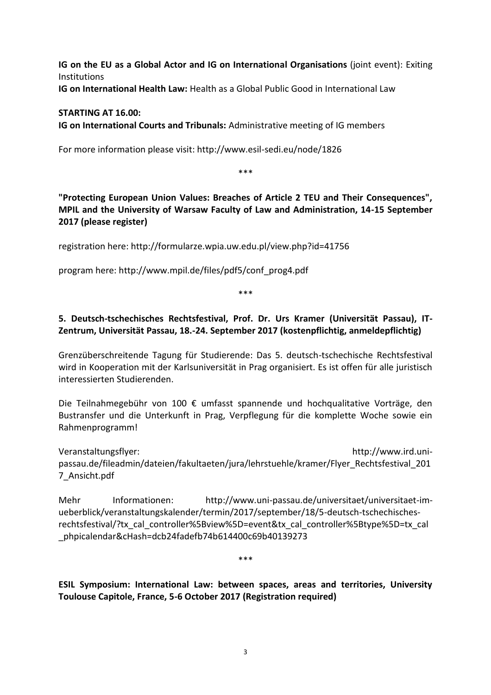**IG on the EU as a Global Actor and IG on International Organisations** (joint event): Exiting Institutions

**IG on International Health Law:** Health as a Global Public Good in International Law

# **STARTING AT 16.00: IG on International Courts and Tribunals:** Administrative meeting of IG members

For more information please visit: http://www.esil-sedi.eu/node/1826

\*\*\*

<span id="page-4-0"></span>**"Protecting European Union Values: Breaches of Article 2 TEU and Their Consequences", MPIL and the University of Warsaw Faculty of Law and Administration, 14-15 September 2017 (please register)**

registration here: http://formularze.wpia.uw.edu.pl/view.php?id=41756

program here: http://www.mpil.de/files/pdf5/conf\_prog4.pdf

\*\*\*

# <span id="page-4-1"></span>**5. Deutsch-tschechisches Rechtsfestival, Prof. Dr. Urs Kramer (Universität Passau), IT-Zentrum, Universität Passau, 18.-24. September 2017 (kostenpflichtig, anmeldepflichtig)**

Grenzüberschreitende Tagung für Studierende: Das 5. deutsch-tschechische Rechtsfestival wird in Kooperation mit der Karlsuniversität in Prag organisiert. Es ist offen für alle juristisch interessierten Studierenden.

Die Teilnahmegebühr von 100 € umfasst spannende und hochqualitative Vorträge, den Bustransfer und die Unterkunft in Prag, Verpflegung für die komplette Woche sowie ein Rahmenprogramm!

Veranstaltungsflyer: http://www.ird.unipassau.de/fileadmin/dateien/fakultaeten/jura/lehrstuehle/kramer/Flyer\_Rechtsfestival\_201 7\_Ansicht.pdf

Mehr Informationen: http://www.uni-passau.de/universitaet/universitaet-imueberblick/veranstaltungskalender/termin/2017/september/18/5-deutsch-tschechischesrechtsfestival/?tx\_cal\_controller%5Bview%5D=event&tx\_cal\_controller%5Btype%5D=tx\_cal \_phpicalendar&cHash=dcb24fadefb74b614400c69b40139273

\*\*\*

<span id="page-4-2"></span>**ESIL Symposium: International Law: between spaces, areas and territories, University Toulouse Capitole, France, 5-6 October 2017 (Registration required)**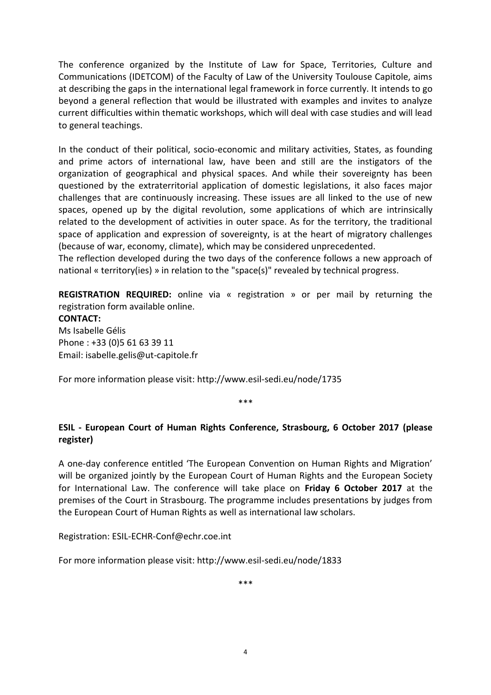The conference organized by the Institute of Law for Space, Territories, Culture and Communications (IDETCOM) of the Faculty of Law of the University Toulouse Capitole, aims at describing the gaps in the international legal framework in force currently. It intends to go beyond a general reflection that would be illustrated with examples and invites to analyze current difficulties within thematic workshops, which will deal with case studies and will lead to general teachings.

In the conduct of their political, socio-economic and military activities, States, as founding and prime actors of international law, have been and still are the instigators of the organization of geographical and physical spaces. And while their sovereignty has been questioned by the extraterritorial application of domestic legislations, it also faces major challenges that are continuously increasing. These issues are all linked to the use of new spaces, opened up by the digital revolution, some applications of which are intrinsically related to the development of activities in outer space. As for the territory, the traditional space of application and expression of sovereignty, is at the heart of migratory challenges (because of war, economy, climate), which may be considered unprecedented.

The reflection developed during the two days of the conference follows a new approach of national « territory(ies) » in relation to the "space(s)" revealed by technical progress.

**REGISTRATION REQUIRED:** online via « registration » or per mail by returning the registration form available online. **CONTACT:** Ms Isabelle Gélis Phone : +33 (0)5 61 63 39 11 Email: isabelle.gelis@ut-capitole.fr

For more information please visit:<http://www.esil-sedi.eu/node/1735>

\*\*\*

# <span id="page-5-0"></span>**ESIL - European Court of Human Rights Conference, Strasbourg, 6 October 2017 (please register)**

A one-day conference entitled 'The European Convention on Human Rights and Migration' will be organized jointly by the European Court of Human Rights and the European Society for International Law. The conference will take place on **Friday 6 October 2017** at the premises of the Court in Strasbourg. The programme includes presentations by judges from the European Court of Human Rights as well as international law scholars.

Registration: ESIL-ECHR-Conf@echr.coe.int

For more information please visit: http://www.esil-sedi.eu/node/1833

\*\*\*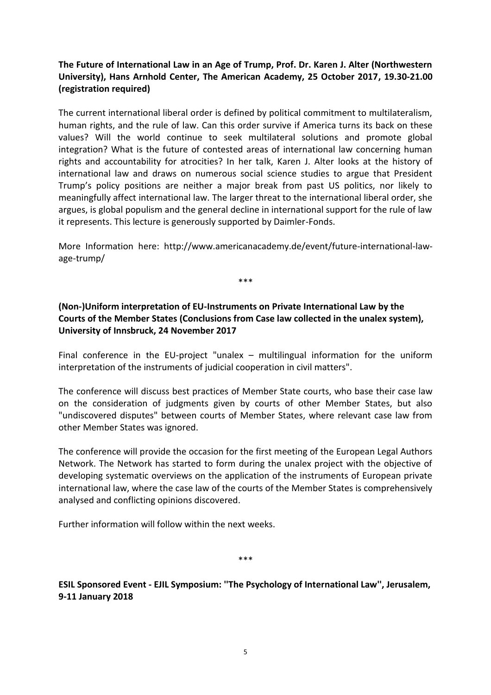# <span id="page-6-0"></span>**The Future of International Law in an Age of Trump, Prof. Dr. Karen J. Alter (Northwestern University), Hans Arnhold Center, The American Academy, 25 October 2017, 19.30-21.00 (registration required)**

The current international liberal order is defined by political commitment to multilateralism, human rights, and the rule of law. Can this order survive if America turns its back on these values? Will the world continue to seek multilateral solutions and promote global integration? What is the future of contested areas of international law concerning human rights and accountability for atrocities? In her talk, Karen J. Alter looks at the history of international law and draws on numerous social science studies to argue that President Trump's policy positions are neither a major break from past US politics, nor likely to meaningfully affect international law. The larger threat to the international liberal order, she argues, is global populism and the general decline in international support for the rule of law it represents. This lecture is generously supported by Daimler-Fonds.

More Information here: http://www.americanacademy.de/event/future-international-lawage-trump/

\*\*\*

# <span id="page-6-1"></span>**(Non-)Uniform interpretation of EU-Instruments on Private International Law by the Courts of the Member States (Conclusions from Case law collected in the unalex system), University of Innsbruck, 24 November 2017**

Final conference in the EU-project "unalex – multilingual information for the uniform interpretation of the instruments of judicial cooperation in civil matters".

The conference will discuss best practices of Member State courts, who base their case law on the consideration of judgments given by courts of other Member States, but also "undiscovered disputes" between courts of Member States, where relevant case law from other Member States was ignored.

The conference will provide the occasion for the first meeting of the European Legal Authors Network. The Network has started to form during the unalex project with the objective of developing systematic overviews on the application of the instruments of European private international law, where the case law of the courts of the Member States is comprehensively analysed and conflicting opinions discovered.

Further information will follow within the next weeks.

\*\*\*

<span id="page-6-2"></span>**ESIL Sponsored Event - EJIL Symposium: ''The Psychology of International Law'', Jerusalem, 9-11 January 2018**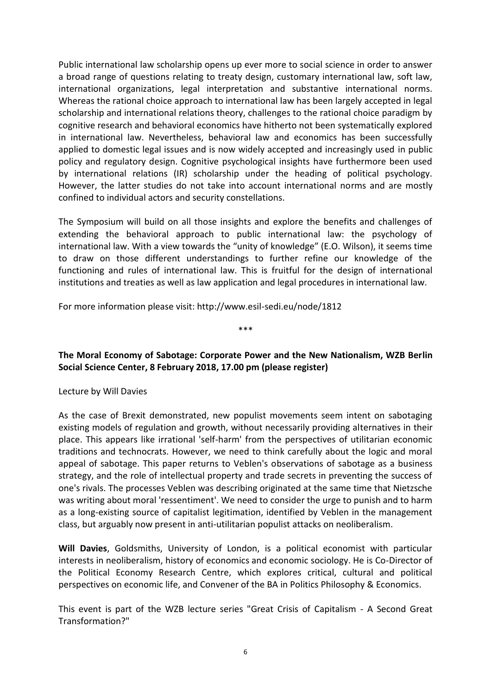Public international law scholarship opens up ever more to social science in order to answer a broad range of questions relating to treaty design, customary international law, soft law, international organizations, legal interpretation and substantive international norms. Whereas the rational choice approach to international law has been largely accepted in legal scholarship and international relations theory, challenges to the rational choice paradigm by cognitive research and behavioral economics have hitherto not been systematically explored in international law. Nevertheless, behavioral law and economics has been successfully applied to domestic legal issues and is now widely accepted and increasingly used in public policy and regulatory design. Cognitive psychological insights have furthermore been used by international relations (IR) scholarship under the heading of political psychology. However, the latter studies do not take into account international norms and are mostly confined to individual actors and security constellations.

The Symposium will build on all those insights and explore the benefits and challenges of extending the behavioral approach to public international law: the psychology of international law. With a view towards the "unity of knowledge" (E.O. Wilson), it seems time to draw on those different understandings to further refine our knowledge of the functioning and rules of international law. This is fruitful for the design of international institutions and treaties as well as law application and legal procedures in international law.

For more information please visit: http://www.esil-sedi.eu/node/1812

<span id="page-7-0"></span>**The Moral Economy of Sabotage: Corporate Power and the New Nationalism, WZB Berlin Social Science Center, 8 February 2018, 17.00 pm (please register)**

\*\*\*

### Lecture by Will Davies

As the case of Brexit demonstrated, new populist movements seem intent on sabotaging existing models of regulation and growth, without necessarily providing alternatives in their place. This appears like irrational 'self-harm' from the perspectives of utilitarian economic traditions and technocrats. However, we need to think carefully about the logic and moral appeal of sabotage. This paper returns to Veblen's observations of sabotage as a business strategy, and the role of intellectual property and trade secrets in preventing the success of one's rivals. The processes Veblen was describing originated at the same time that Nietzsche was writing about moral 'ressentiment'. We need to consider the urge to punish and to harm as a long-existing source of capitalist legitimation, identified by Veblen in the management class, but arguably now present in anti-utilitarian populist attacks on neoliberalism.

**Will Davies**, Goldsmiths, University of London, is a political economist with particular interests in neoliberalism, history of economics and economic sociology. He is Co-Director of the Political Economy Research Centre, which explores critical, cultural and political perspectives on economic life, and Convener of the BA in Politics Philosophy & Economics.

This event is part of the WZB lecture series "Great Crisis of Capitalism - A Second Great Transformation?"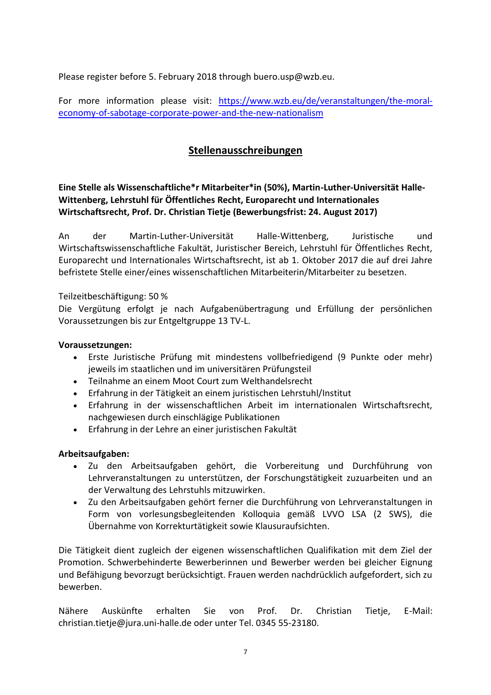Please register before 5. February 2018 through buero.usp@wzb.eu.

For more information please visit: [https://www.wzb.eu/de/veranstaltungen/the-moral](https://www.wzb.eu/de/veranstaltungen/the-moral-economy-of-sabotage-corporate-power-and-the-new-nationalism)[economy-of-sabotage-corporate-power-and-the-new-nationalism](https://www.wzb.eu/de/veranstaltungen/the-moral-economy-of-sabotage-corporate-power-and-the-new-nationalism)

# **Stellenausschreibungen**

<span id="page-8-1"></span><span id="page-8-0"></span>**Eine Stelle als Wissenschaftliche\*r Mitarbeiter\*in (50%), Martin-Luther-Universität Halle-Wittenberg, Lehrstuhl für Öffentliches Recht, Europarecht und Internationales Wirtschaftsrecht, Prof. Dr. Christian Tietje (Bewerbungsfrist: 24. August 2017)**

An der Martin-Luther-Universität Halle-Wittenberg, Juristische und Wirtschaftswissenschaftliche Fakultät, Juristischer Bereich, Lehrstuhl für Öffentliches Recht, Europarecht und Internationales Wirtschaftsrecht, ist ab 1. Oktober 2017 die auf drei Jahre befristete Stelle einer/eines wissenschaftlichen Mitarbeiterin/Mitarbeiter zu besetzen.

Teilzeitbeschäftigung: 50 %

Die Vergütung erfolgt je nach Aufgabenübertragung und Erfüllung der persönlichen Voraussetzungen bis zur Entgeltgruppe 13 TV-L.

### **Voraussetzungen:**

- Erste Juristische Prüfung mit mindestens vollbefriedigend (9 Punkte oder mehr) jeweils im staatlichen und im universitären Prüfungsteil
- Teilnahme an einem Moot Court zum Welthandelsrecht
- Erfahrung in der Tätigkeit an einem juristischen Lehrstuhl/Institut
- Erfahrung in der wissenschaftlichen Arbeit im internationalen Wirtschaftsrecht, nachgewiesen durch einschlägige Publikationen
- Erfahrung in der Lehre an einer juristischen Fakultät

### **Arbeitsaufgaben:**

- Zu den Arbeitsaufgaben gehört, die Vorbereitung und Durchführung von Lehrveranstaltungen zu unterstützen, der Forschungstätigkeit zuzuarbeiten und an der Verwaltung des Lehrstuhls mitzuwirken.
- Zu den Arbeitsaufgaben gehört ferner die Durchführung von Lehrveranstaltungen in Form von vorlesungsbegleitenden Kolloquia gemäß LVVO LSA (2 SWS), die Übernahme von Korrekturtätigkeit sowie Klausuraufsichten.

Die Tätigkeit dient zugleich der eigenen wissenschaftlichen Qualifikation mit dem Ziel der Promotion. Schwerbehinderte Bewerberinnen und Bewerber werden bei gleicher Eignung und Befähigung bevorzugt berücksichtigt. Frauen werden nachdrücklich aufgefordert, sich zu bewerben.

Nähere Auskünfte erhalten Sie von Prof. Dr. Christian Tietje, E-Mail: christian.tietje@jura.uni-halle.de oder unter Tel. 0345 55-23180.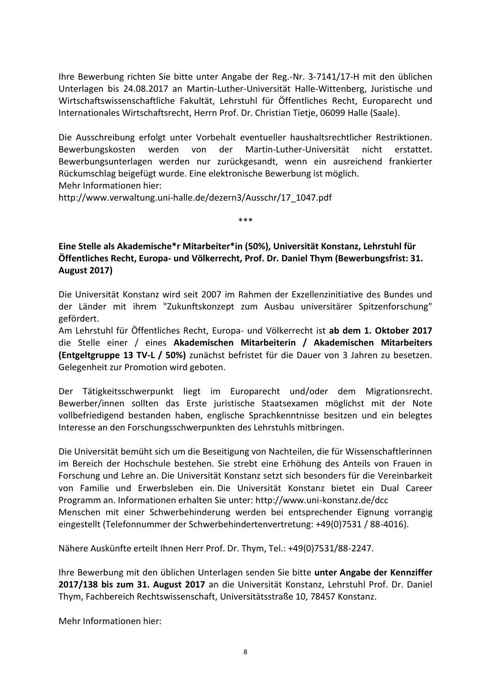Ihre Bewerbung richten Sie bitte unter Angabe der Reg.-Nr. 3-7141/17-H mit den üblichen Unterlagen bis 24.08.2017 an Martin-Luther-Universität Halle-Wittenberg, Juristische und Wirtschaftswissenschaftliche Fakultät, Lehrstuhl für Öffentliches Recht, Europarecht und Internationales Wirtschaftsrecht, Herrn Prof. Dr. Christian Tietje, 06099 Halle (Saale).

Die Ausschreibung erfolgt unter Vorbehalt eventueller haushaltsrechtlicher Restriktionen. Bewerbungskosten werden von der Martin-Luther-Universität nicht erstattet. Bewerbungsunterlagen werden nur zurückgesandt, wenn ein ausreichend frankierter Rückumschlag beigefügt wurde. Eine elektronische Bewerbung ist möglich. Mehr Informationen hier:

http://www.verwaltung.uni-halle.de/dezern3/Ausschr/17\_1047.pdf

<span id="page-9-0"></span>**Eine Stelle als Akademische\*r Mitarbeiter\*in (50%), Universität Konstanz, Lehrstuhl für Öffentliches Recht, Europa- und Völkerrecht, Prof. Dr. Daniel Thym (Bewerbungsfrist: 31. August 2017)**

\*\*\*

Die Universität Konstanz wird seit 2007 im Rahmen der Exzellenzinitiative des Bundes und der Länder mit ihrem "Zukunftskonzept zum Ausbau universitärer Spitzenforschung" gefördert.

Am Lehrstuhl für Öffentliches Recht, Europa- und Völkerrecht ist **ab dem 1. Oktober 2017** die Stelle einer / eines **Akademischen Mitarbeiterin / Akademischen Mitarbeiters (Entgeltgruppe 13 TV-L / 50%)** zunächst befristet für die Dauer von 3 Jahren zu besetzen. Gelegenheit zur Promotion wird geboten.

Der Tätigkeitsschwerpunkt liegt im Europarecht und/oder dem Migrationsrecht. Bewerber/innen sollten das Erste juristische Staatsexamen möglichst mit der Note vollbefriedigend bestanden haben, englische Sprachkenntnisse besitzen und ein belegtes Interesse an den Forschungsschwerpunkten des Lehrstuhls mitbringen.

Die Universität bemüht sich um die Beseitigung von Nachteilen, die für Wissenschaftlerinnen im Bereich der Hochschule bestehen. Sie strebt eine Erhöhung des Anteils von Frauen in Forschung und Lehre an. Die Universität Konstanz setzt sich besonders für die Vereinbarkeit von Familie und Erwerbsleben ein. Die Universität Konstanz bietet ein Dual Career Programm an. Informationen erhalten Sie unter: http://www.uni-konstanz.de/dcc Menschen mit einer Schwerbehinderung werden bei entsprechender Eignung vorrangig eingestellt (Telefonnummer der Schwerbehindertenvertretung: +49(0)7531 / 88-4016).

Nähere Auskünfte erteilt Ihnen Herr Prof. Dr. Thym, Tel.: +49(0)7531/88-2247.

Ihre Bewerbung mit den üblichen Unterlagen senden Sie bitte **unter Angabe der Kennziffer 2017/138 bis zum 31. August 2017** an die Universität Konstanz, Lehrstuhl Prof. Dr. Daniel Thym, Fachbereich Rechtswissenschaft, Universitätsstraße 10, 78457 Konstanz.

Mehr Informationen hier: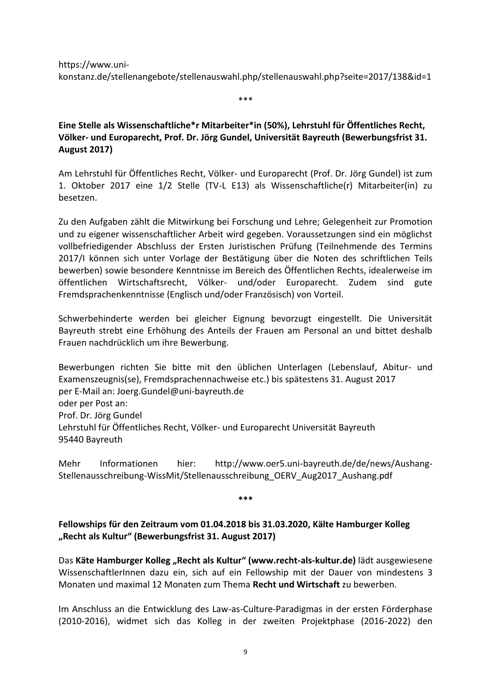https://www.unikonstanz.de/stellenangebote/stellenauswahl.php/stellenauswahl.php?seite=2017/138&id=1

\*\*\*

# <span id="page-10-0"></span>**Eine Stelle als Wissenschaftliche\*r Mitarbeiter\*in (50%), Lehrstuhl für Öffentliches Recht, Völker- und Europarecht, Prof. Dr. Jörg Gundel, Universität Bayreuth (Bewerbungsfrist 31. August 2017)**

Am Lehrstuhl für Öffentliches Recht, Völker- und Europarecht (Prof. Dr. Jörg Gundel) ist zum 1. Oktober 2017 eine 1/2 Stelle (TV-L E13) als Wissenschaftliche(r) Mitarbeiter(in) zu besetzen.

Zu den Aufgaben zählt die Mitwirkung bei Forschung und Lehre; Gelegenheit zur Promotion und zu eigener wissenschaftlicher Arbeit wird gegeben. Voraussetzungen sind ein möglichst vollbefriedigender Abschluss der Ersten Juristischen Prüfung (Teilnehmende des Termins 2017/I können sich unter Vorlage der Bestätigung über die Noten des schriftlichen Teils bewerben) sowie besondere Kenntnisse im Bereich des Öffentlichen Rechts, idealerweise im öffentlichen Wirtschaftsrecht, Völker- und/oder Europarecht. Zudem sind gute Fremdsprachenkenntnisse (Englisch und/oder Französisch) von Vorteil.

Schwerbehinderte werden bei gleicher Eignung bevorzugt eingestellt. Die Universität Bayreuth strebt eine Erhöhung des Anteils der Frauen am Personal an und bittet deshalb Frauen nachdrücklich um ihre Bewerbung.

Bewerbungen richten Sie bitte mit den üblichen Unterlagen (Lebenslauf, Abitur- und Examenszeugnis(se), Fremdsprachennachweise etc.) bis spätestens 31. August 2017 per E-Mail an: Joerg.Gundel@uni-bayreuth.de oder per Post an: Prof. Dr. Jörg Gundel Lehrstuhl für Öffentliches Recht, Völker- und Europarecht Universität Bayreuth 95440 Bayreuth

Mehr Informationen hier: http://www.oer5.uni-bayreuth.de/de/news/Aushang-Stellenausschreibung-WissMit/Stellenausschreibung\_OERV\_Aug2017\_Aushang.pdf

**\*\*\***

# <span id="page-10-1"></span>**Fellowships für den Zeitraum vom 01.04.2018 bis 31.03.2020, Kälte Hamburger Kolleg "Recht als Kultur" (Bewerbungsfrist 31. August 2017)**

Das **Käte Hamburger Kolleg "Recht als Kultur" (www.recht-als-kultur.de)** lädt ausgewiesene WissenschaftlerInnen dazu ein, sich auf ein Fellowship mit der Dauer von mindestens 3 Monaten und maximal 12 Monaten zum Thema **Recht und Wirtschaft** zu bewerben.

Im Anschluss an die Entwicklung des Law-as-Culture-Paradigmas in der ersten Förderphase (2010-2016), widmet sich das Kolleg in der zweiten Projektphase (2016-2022) den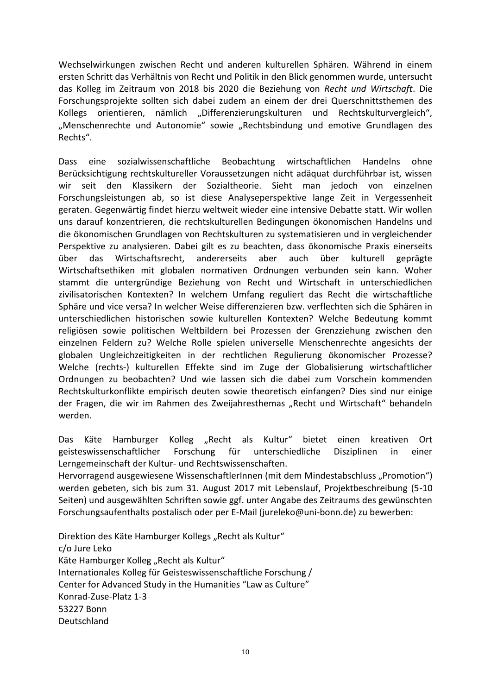Wechselwirkungen zwischen Recht und anderen kulturellen Sphären. Während in einem ersten Schritt das Verhältnis von Recht und Politik in den Blick genommen wurde, untersucht das Kolleg im Zeitraum von 2018 bis 2020 die Beziehung von *Recht und Wirtschaft*. Die Forschungsprojekte sollten sich dabei zudem an einem der drei Querschnittsthemen des Kollegs orientieren, nämlich "Differenzierungskulturen und Rechtskulturvergleich", "Menschenrechte und Autonomie" sowie "Rechtsbindung und emotive Grundlagen des Rechts".

Dass eine sozialwissenschaftliche Beobachtung wirtschaftlichen Handelns ohne Berücksichtigung rechtskultureller Voraussetzungen nicht adäquat durchführbar ist, wissen wir seit den Klassikern der Sozialtheorie. Sieht man jedoch von einzelnen Forschungsleistungen ab, so ist diese Analyseperspektive lange Zeit in Vergessenheit geraten. Gegenwärtig findet hierzu weltweit wieder eine intensive Debatte statt. Wir wollen uns darauf konzentrieren, die rechtskulturellen Bedingungen ökonomischen Handelns und die ökonomischen Grundlagen von Rechtskulturen zu systematisieren und in vergleichender Perspektive zu analysieren. Dabei gilt es zu beachten, dass ökonomische Praxis einerseits über das Wirtschaftsrecht, andererseits aber auch über kulturell geprägte Wirtschaftsethiken mit globalen normativen Ordnungen verbunden sein kann. Woher stammt die untergründige Beziehung von Recht und Wirtschaft in unterschiedlichen zivilisatorischen Kontexten? In welchem Umfang reguliert das Recht die wirtschaftliche Sphäre und vice versa? In welcher Weise differenzieren bzw. verflechten sich die Sphären in unterschiedlichen historischen sowie kulturellen Kontexten? Welche Bedeutung kommt religiösen sowie politischen Weltbildern bei Prozessen der Grenzziehung zwischen den einzelnen Feldern zu? Welche Rolle spielen universelle Menschenrechte angesichts der globalen Ungleichzeitigkeiten in der rechtlichen Regulierung ökonomischer Prozesse? Welche (rechts-) kulturellen Effekte sind im Zuge der Globalisierung wirtschaftlicher Ordnungen zu beobachten? Und wie lassen sich die dabei zum Vorschein kommenden Rechtskulturkonflikte empirisch deuten sowie theoretisch einfangen? Dies sind nur einige der Fragen, die wir im Rahmen des Zweijahresthemas "Recht und Wirtschaft" behandeln werden.

Das Käte Hamburger Kolleg "Recht als Kultur" bietet einen kreativen Ort geisteswissenschaftlicher Forschung für unterschiedliche Disziplinen in einer Lerngemeinschaft der Kultur- und Rechtswissenschaften.

Hervorragend ausgewiesene WissenschaftlerInnen (mit dem Mindestabschluss "Promotion") werden gebeten, sich bis zum 31. August 2017 mit Lebenslauf, Projektbeschreibung (5-10 Seiten) und ausgewählten Schriften sowie ggf. unter Angabe des Zeitraums des gewünschten Forschungsaufenthalts postalisch oder per E-Mail (jureleko@uni-bonn.de) zu bewerben:

Direktion des Käte Hamburger Kollegs "Recht als Kultur" c/o Jure Leko Käte Hamburger Kolleg "Recht als Kultur" Internationales Kolleg für Geisteswissenschaftliche Forschung / Center for Advanced Study in the Humanities "Law as Culture" Konrad-Zuse-Platz 1-3 53227 Bonn Deutschland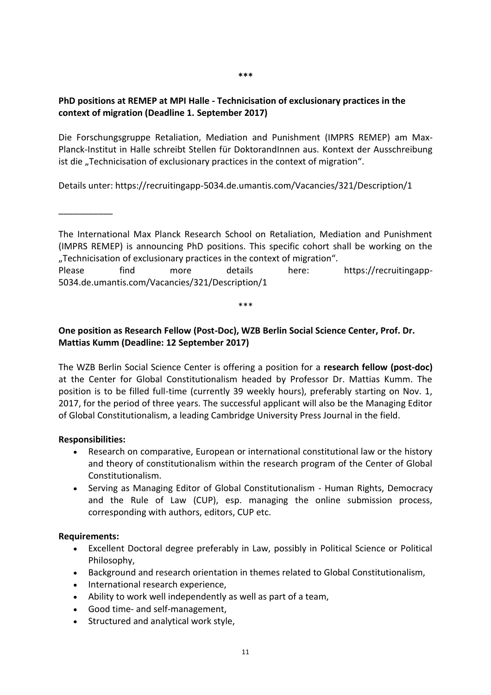#### **\*\*\***

# <span id="page-12-0"></span>**PhD positions at REMEP at MPI Halle - Technicisation of exclusionary practices in the context of migration (Deadline 1. September 2017)**

Die Forschungsgruppe Retaliation, Mediation and Punishment (IMPRS REMEP) am Max-Planck-Institut in Halle schreibt Stellen für DoktorandInnen aus. Kontext der Ausschreibung ist die "Technicisation of exclusionary practices in the context of migration".

Details unter: https://recruitingapp-5034.de.umantis.com/Vacancies/321/Description/1

\_\_\_\_\_\_\_\_\_\_\_

The International Max Planck Research School on Retaliation, Mediation and Punishment (IMPRS REMEP) is announcing PhD positions. This specific cohort shall be working on the "Technicisation of exclusionary practices in the context of migration".

Please find more details here: https://recruitingapp-5034.de.umantis.com/Vacancies/321/Description/1

\*\*\*

# <span id="page-12-1"></span>**One position as Research Fellow (Post-Doc), WZB Berlin Social Science Center, Prof. Dr. Mattias Kumm (Deadline: 12 September 2017)**

The WZB Berlin Social Science Center is offering a position for a **research fellow (post-doc)** at the Center for Global Constitutionalism headed by Professor Dr. Mattias Kumm. The position is to be filled full-time (currently 39 weekly hours), preferably starting on Nov. 1, 2017, for the period of three years. The successful applicant will also be the Managing Editor of Global Constitutionalism, a leading Cambridge University Press Journal in the field.

### **Responsibilities:**

- Research on comparative, European or international constitutional law or the history and theory of constitutionalism within the research program of the Center of Global Constitutionalism.
- Serving as Managing Editor of Global Constitutionalism Human Rights, Democracy and the Rule of Law (CUP), esp. managing the online submission process, corresponding with authors, editors, CUP etc.

### **Requirements:**

- Excellent Doctoral degree preferably in Law, possibly in Political Science or Political Philosophy,
- Background and research orientation in themes related to Global Constitutionalism,
- International research experience,
- Ability to work well independently as well as part of a team,
- Good time- and self-management,
- Structured and analytical work style,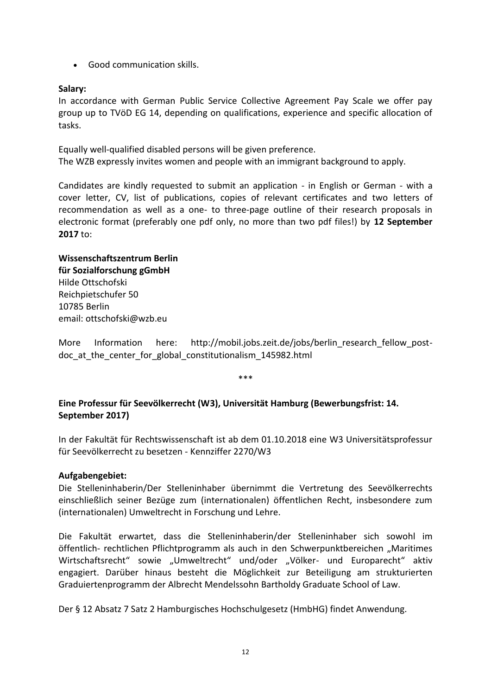Good communication skills.

## **Salary:**

In accordance with German Public Service Collective Agreement Pay Scale we offer pay group up to TVöD EG 14, depending on qualifications, experience and specific allocation of tasks.

Equally well-qualified disabled persons will be given preference. The WZB expressly invites women and people with an immigrant background to apply.

Candidates are kindly requested to submit an application - in English or German - with a cover letter, CV, list of publications, copies of relevant certificates and two letters of recommendation as well as a one- to three-page outline of their research proposals in electronic format (preferably one pdf only, no more than two pdf files!) by **12 September 2017** to:

# **Wissenschaftszentrum Berlin für Sozialforschung gGmbH** Hilde Ottschofski Reichpietschufer 50 10785 Berlin email: ottschofski@wzb.eu

More Information here: http://mobil.jobs.zeit.de/jobs/berlin\_research\_fellow\_postdoc at the center for global constitutionalism 145982.html

\*\*\*

# <span id="page-13-0"></span>**Eine Professur für Seevölkerrecht (W3), Universität Hamburg (Bewerbungsfrist: 14. September 2017)**

In der Fakultät für Rechtswissenschaft ist ab dem 01.10.2018 eine W3 Universitätsprofessur für Seevölkerrecht zu besetzen - Kennziffer 2270/W3

# **Aufgabengebiet:**

Die Stelleninhaberin/Der Stelleninhaber übernimmt die Vertretung des Seevölkerrechts einschließlich seiner Bezüge zum (internationalen) öffentlichen Recht, insbesondere zum (internationalen) Umweltrecht in Forschung und Lehre.

Die Fakultät erwartet, dass die Stelleninhaberin/der Stelleninhaber sich sowohl im öffentlich- rechtlichen Pflichtprogramm als auch in den Schwerpunktbereichen "Maritimes Wirtschaftsrecht" sowie "Umweltrecht" und/oder "Völker- und Europarecht" aktiv engagiert. Darüber hinaus besteht die Möglichkeit zur Beteiligung am strukturierten Graduiertenprogramm der Albrecht Mendelssohn Bartholdy Graduate School of Law.

Der § 12 Absatz 7 Satz 2 Hamburgisches Hochschulgesetz (HmbHG) findet Anwendung.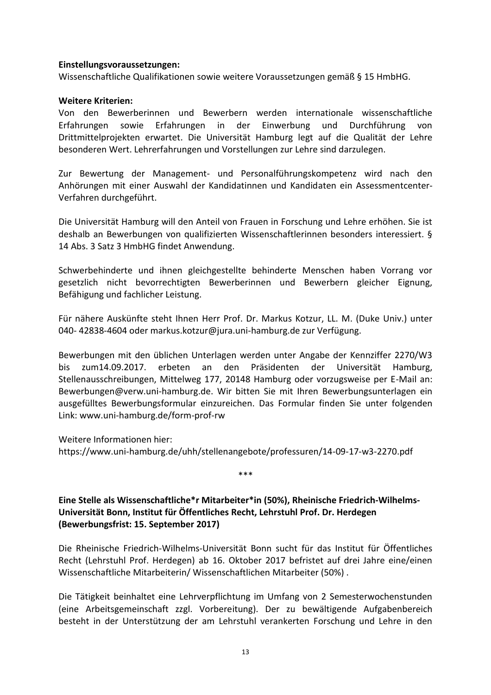#### **Einstellungsvoraussetzungen:**

Wissenschaftliche Qualifikationen sowie weitere Voraussetzungen gemäß § 15 HmbHG.

### **Weitere Kriterien:**

Von den Bewerberinnen und Bewerbern werden internationale wissenschaftliche Erfahrungen sowie Erfahrungen in der Einwerbung und Durchführung von Drittmittelprojekten erwartet. Die Universität Hamburg legt auf die Qualität der Lehre besonderen Wert. Lehrerfahrungen und Vorstellungen zur Lehre sind darzulegen.

Zur Bewertung der Management- und Personalführungskompetenz wird nach den Anhörungen mit einer Auswahl der Kandidatinnen und Kandidaten ein Assessmentcenter-Verfahren durchgeführt.

Die Universität Hamburg will den Anteil von Frauen in Forschung und Lehre erhöhen. Sie ist deshalb an Bewerbungen von qualifizierten Wissenschaftlerinnen besonders interessiert. § 14 Abs. 3 Satz 3 HmbHG findet Anwendung.

Schwerbehinderte und ihnen gleichgestellte behinderte Menschen haben Vorrang vor gesetzlich nicht bevorrechtigten Bewerberinnen und Bewerbern gleicher Eignung, Befähigung und fachlicher Leistung.

Für nähere Auskünfte steht Ihnen Herr Prof. Dr. Markus Kotzur, LL. M. (Duke Univ.) unter 040- 42838-4604 oder markus.kotzur@jura.uni-hamburg.de zur Verfügung.

Bewerbungen mit den üblichen Unterlagen werden unter Angabe der Kennziffer 2270/W3 bis zum14.09.2017. erbeten an den Präsidenten der Universität Hamburg, Stellenausschreibungen, Mittelweg 177, 20148 Hamburg oder vorzugsweise per E-Mail an: Bewerbungen@verw.uni-hamburg.de. Wir bitten Sie mit Ihren Bewerbungsunterlagen ein ausgefülltes Bewerbungsformular einzureichen. Das Formular finden Sie unter folgenden Link: www.uni-hamburg.de/form-prof-rw

Weitere Informationen hier:

https://www.uni-hamburg.de/uhh/stellenangebote/professuren/14-09-17-w3-2270.pdf

\*\*\*

<span id="page-14-0"></span>**Eine Stelle als Wissenschaftliche\*r Mitarbeiter\*in (50%), Rheinische Friedrich-Wilhelms-Universität Bonn, Institut für Öffentliches Recht, Lehrstuhl Prof. Dr. Herdegen (Bewerbungsfrist: 15. September 2017)**

Die Rheinische Friedrich-Wilhelms-Universität Bonn sucht für das Institut für Öffentliches Recht (Lehrstuhl Prof. Herdegen) ab 16. Oktober 2017 befristet auf drei Jahre eine/einen Wissenschaftliche Mitarbeiterin/ Wissenschaftlichen Mitarbeiter (50%) .

Die Tätigkeit beinhaltet eine Lehrverpflichtung im Umfang von 2 Semesterwochenstunden (eine Arbeitsgemeinschaft zzgl. Vorbereitung). Der zu bewältigende Aufgabenbereich besteht in der Unterstützung der am Lehrstuhl verankerten Forschung und Lehre in den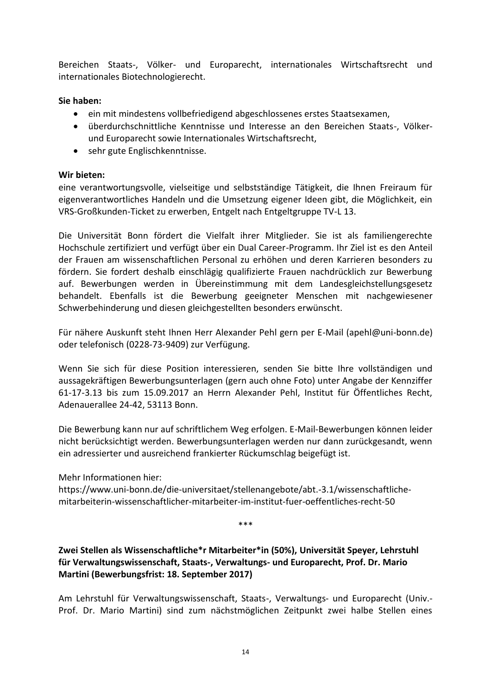Bereichen Staats-, Völker- und Europarecht, internationales Wirtschaftsrecht und internationales Biotechnologierecht.

# **Sie haben:**

- ein mit mindestens vollbefriedigend abgeschlossenes erstes Staatsexamen,
- überdurchschnittliche Kenntnisse und Interesse an den Bereichen Staats-, Völkerund Europarecht sowie Internationales Wirtschaftsrecht,
- sehr gute Englischkenntnisse.

# **Wir bieten:**

eine verantwortungsvolle, vielseitige und selbstständige Tätigkeit, die Ihnen Freiraum für eigenverantwortliches Handeln und die Umsetzung eigener Ideen gibt, die Möglichkeit, ein VRS-Großkunden-Ticket zu erwerben, Entgelt nach Entgeltgruppe TV-L 13.

Die Universität Bonn fördert die Vielfalt ihrer Mitglieder. Sie ist als familiengerechte Hochschule zertifiziert und verfügt über ein Dual Career-Programm. Ihr Ziel ist es den Anteil der Frauen am wissenschaftlichen Personal zu erhöhen und deren Karrieren besonders zu fördern. Sie fordert deshalb einschlägig qualifizierte Frauen nachdrücklich zur Bewerbung auf. Bewerbungen werden in Übereinstimmung mit dem Landesgleichstellungsgesetz behandelt. Ebenfalls ist die Bewerbung geeigneter Menschen mit nachgewiesener Schwerbehinderung und diesen gleichgestellten besonders erwünscht.

Für nähere Auskunft steht Ihnen Herr Alexander Pehl gern per E-Mail (apehl@uni-bonn.de) oder telefonisch (0228-73-9409) zur Verfügung.

Wenn Sie sich für diese Position interessieren, senden Sie bitte Ihre vollständigen und aussagekräftigen Bewerbungsunterlagen (gern auch ohne Foto) unter Angabe der Kennziffer 61-17-3.13 bis zum 15.09.2017 an Herrn Alexander Pehl, Institut für Öffentliches Recht, Adenauerallee 24-42, 53113 Bonn.

Die Bewerbung kann nur auf schriftlichem Weg erfolgen. E-Mail-Bewerbungen können leider nicht berücksichtigt werden. Bewerbungsunterlagen werden nur dann zurückgesandt, wenn ein adressierter und ausreichend frankierter Rückumschlag beigefügt ist.

Mehr Informationen hier:

https://www.uni-bonn.de/die-universitaet/stellenangebote/abt.-3.1/wissenschaftlichemitarbeiterin-wissenschaftlicher-mitarbeiter-im-institut-fuer-oeffentliches-recht-50

\*\*\*

<span id="page-15-0"></span>**Zwei Stellen als Wissenschaftliche\*r Mitarbeiter\*in (50%), Universität Speyer, Lehrstuhl für Verwaltungswissenschaft, Staats-, Verwaltungs- und Europarecht, Prof. Dr. Mario Martini (Bewerbungsfrist: 18. September 2017)**

Am Lehrstuhl für Verwaltungswissenschaft, Staats-, Verwaltungs- und Europarecht (Univ.- Prof. Dr. Mario Martini) sind zum nächstmöglichen Zeitpunkt zwei halbe Stellen eines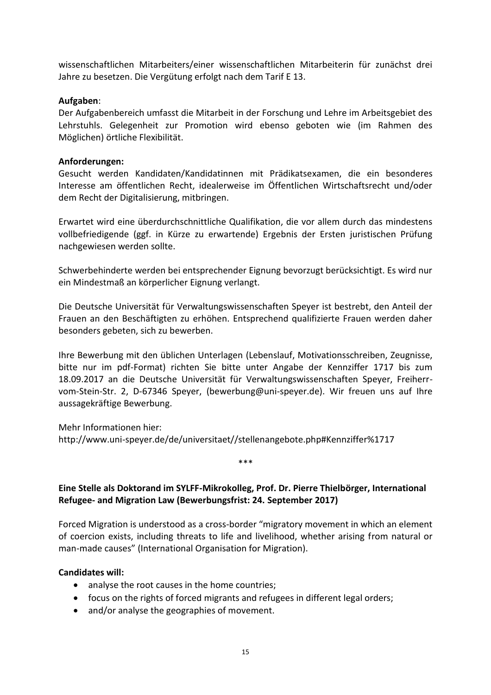wissenschaftlichen Mitarbeiters/einer wissenschaftlichen Mitarbeiterin für zunächst drei Jahre zu besetzen. Die Vergütung erfolgt nach dem Tarif E 13.

# **Aufgaben**:

Der Aufgabenbereich umfasst die Mitarbeit in der Forschung und Lehre im Arbeitsgebiet des Lehrstuhls. Gelegenheit zur Promotion wird ebenso geboten wie (im Rahmen des Möglichen) örtliche Flexibilität.

# **Anforderungen:**

Gesucht werden Kandidaten/Kandidatinnen mit Prädikatsexamen, die ein besonderes Interesse am öffentlichen Recht, idealerweise im Öffentlichen Wirtschaftsrecht und/oder dem Recht der Digitalisierung, mitbringen.

Erwartet wird eine überdurchschnittliche Qualifikation, die vor allem durch das mindestens vollbefriedigende (ggf. in Kürze zu erwartende) Ergebnis der Ersten juristischen Prüfung nachgewiesen werden sollte.

Schwerbehinderte werden bei entsprechender Eignung bevorzugt berücksichtigt. Es wird nur ein Mindestmaß an körperlicher Eignung verlangt.

Die Deutsche Universität für Verwaltungswissenschaften Speyer ist bestrebt, den Anteil der Frauen an den Beschäftigten zu erhöhen. Entsprechend qualifizierte Frauen werden daher besonders gebeten, sich zu bewerben.

Ihre Bewerbung mit den üblichen Unterlagen (Lebenslauf, Motivationsschreiben, Zeugnisse, bitte nur im pdf-Format) richten Sie bitte unter Angabe der Kennziffer 1717 bis zum 18.09.2017 an die Deutsche Universität für Verwaltungswissenschaften Speyer, Freiherrvom-Stein-Str. 2, D-67346 Speyer, (bewerbung@uni-speyer.de). Wir freuen uns auf Ihre aussagekräftige Bewerbung.

Mehr Informationen hier: http://www.uni-speyer.de/de/universitaet//stellenangebote.php#Kennziffer%1717

\*\*\*

# <span id="page-16-0"></span>**Eine Stelle als Doktorand im SYLFF-Mikrokolleg, Prof. Dr. Pierre Thielbörger, International Refugee- and Migration Law (Bewerbungsfrist: 24. September 2017)**

Forced Migration is understood as a cross-border "migratory movement in which an element of coercion exists, including threats to life and livelihood, whether arising from natural or man-made causes" (International Organisation for Migration).

# **Candidates will:**

- analyse the root causes in the home countries;
- focus on the rights of forced migrants and refugees in different legal orders;
- and/or analyse the geographies of movement.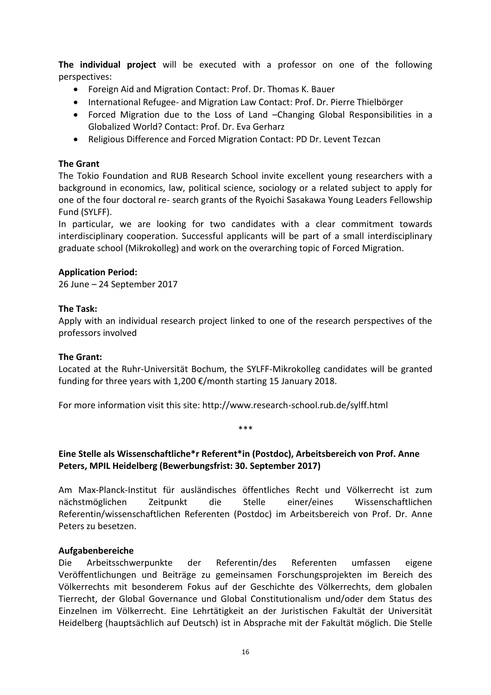**The individual project** will be executed with a professor on one of the following perspectives:

- Foreign Aid and Migration Contact: Prof. Dr. Thomas K. Bauer
- International Refugee- and Migration Law Contact: Prof. Dr. Pierre Thielbörger
- Forced Migration due to the Loss of Land –Changing Global Responsibilities in a Globalized World? Contact: Prof. Dr. Eva Gerharz
- Religious Difference and Forced Migration Contact: PD Dr. Levent Tezcan

# **The Grant**

The Tokio Foundation and RUB Research School invite excellent young researchers with a background in economics, law, political science, sociology or a related subject to apply for one of the four doctoral re- search grants of the Ryoichi Sasakawa Young Leaders Fellowship Fund (SYLFF).

In particular, we are looking for two candidates with a clear commitment towards interdisciplinary cooperation. Successful applicants will be part of a small interdisciplinary graduate school (Mikrokolleg) and work on the overarching topic of Forced Migration.

# **Application Period:**

26 June – 24 September 2017

# **The Task:**

Apply with an individual research project linked to one of the research perspectives of the professors involved

### **The Grant:**

Located at the Ruhr-Universität Bochum, the SYLFF-Mikrokolleg candidates will be granted funding for three years with 1,200  $\epsilon$ /month starting 15 January 2018.

For more information visit this site: http://www.research-school.rub.de/sylff.html

\*\*\*

# <span id="page-17-0"></span>**Eine Stelle als Wissenschaftliche\*r Referent\*in (Postdoc), Arbeitsbereich von Prof. Anne Peters, MPIL Heidelberg (Bewerbungsfrist: 30. September 2017)**

Am Max-Planck-Institut für ausländisches öffentliches Recht und Völkerrecht ist zum nächstmöglichen Zeitpunkt die Stelle einer/eines Wissenschaftlichen Referentin/wissenschaftlichen Referenten (Postdoc) im Arbeitsbereich von Prof. Dr. Anne Peters zu besetzen.

### **Aufgabenbereiche**

Die Arbeitsschwerpunkte der Referentin/des Referenten umfassen eigene Veröffentlichungen und Beiträge zu gemeinsamen Forschungsprojekten im Bereich des Völkerrechts mit besonderem Fokus auf der Geschichte des Völkerrechts, dem globalen Tierrecht, der Global Governance und Global Constitutionalism und/oder dem Status des Einzelnen im Völkerrecht. Eine Lehrtätigkeit an der Juristischen Fakultät der Universität Heidelberg (hauptsächlich auf Deutsch) ist in Absprache mit der Fakultät möglich. Die Stelle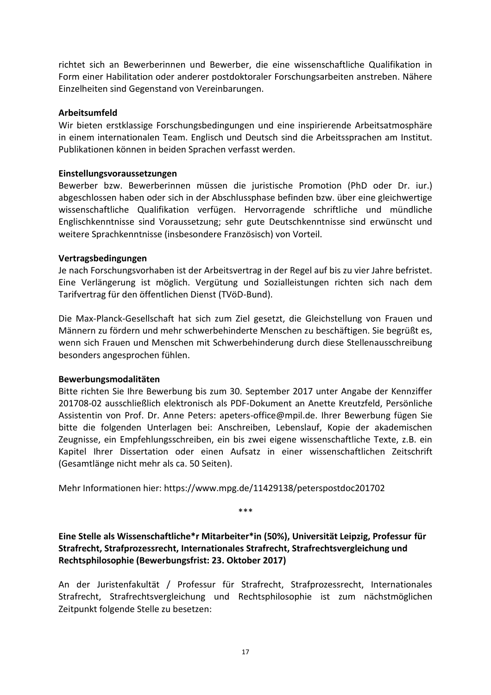richtet sich an Bewerberinnen und Bewerber, die eine wissenschaftliche Qualifikation in Form einer Habilitation oder anderer postdoktoraler Forschungsarbeiten anstreben. Nähere Einzelheiten sind Gegenstand von Vereinbarungen.

### **Arbeitsumfeld**

Wir bieten erstklassige Forschungsbedingungen und eine inspirierende Arbeitsatmosphäre in einem internationalen Team. Englisch und Deutsch sind die Arbeitssprachen am Institut. Publikationen können in beiden Sprachen verfasst werden.

### **Einstellungsvoraussetzungen**

Bewerber bzw. Bewerberinnen müssen die juristische Promotion (PhD oder Dr. iur.) abgeschlossen haben oder sich in der Abschlussphase befinden bzw. über eine gleichwertige wissenschaftliche Qualifikation verfügen. Hervorragende schriftliche und mündliche Englischkenntnisse sind Voraussetzung; sehr gute Deutschkenntnisse sind erwünscht und weitere Sprachkenntnisse (insbesondere Französisch) von Vorteil.

### **Vertragsbedingungen**

Je nach Forschungsvorhaben ist der Arbeitsvertrag in der Regel auf bis zu vier Jahre befristet. Eine Verlängerung ist möglich. Vergütung und Sozialleistungen richten sich nach dem Tarifvertrag für den öffentlichen Dienst (TVöD-Bund).

Die Max-Planck-Gesellschaft hat sich zum Ziel gesetzt, die Gleichstellung von Frauen und Männern zu fördern und mehr schwerbehinderte Menschen zu beschäftigen. Sie begrüßt es, wenn sich Frauen und Menschen mit Schwerbehinderung durch diese Stellenausschreibung besonders angesprochen fühlen.

### **Bewerbungsmodalitäten**

Bitte richten Sie Ihre Bewerbung bis zum 30. September 2017 unter Angabe der Kennziffer 201708-02 ausschließlich elektronisch als PDF-Dokument an Anette Kreutzfeld, Persönliche Assistentin von Prof. Dr. Anne Peters: apeters-office@mpil.de. Ihrer Bewerbung fügen Sie bitte die folgenden Unterlagen bei: Anschreiben, Lebenslauf, Kopie der akademischen Zeugnisse, ein Empfehlungsschreiben, ein bis zwei eigene wissenschaftliche Texte, z.B. ein Kapitel Ihrer Dissertation oder einen Aufsatz in einer wissenschaftlichen Zeitschrift (Gesamtlänge nicht mehr als ca. 50 Seiten).

Mehr Informationen hier: https://www.mpg.de/11429138/peterspostdoc201702

\*\*\*

<span id="page-18-0"></span>**Eine Stelle als Wissenschaftliche\*r Mitarbeiter\*in (50%), Universität Leipzig, Professur für Strafrecht, Strafprozessrecht, Internationales Strafrecht, Strafrechtsvergleichung und Rechtsphilosophie (Bewerbungsfrist: 23. Oktober 2017)**

An der Juristenfakultät / Professur für Strafrecht, Strafprozessrecht, Internationales Strafrecht, Strafrechtsvergleichung und Rechtsphilosophie ist zum nächstmöglichen Zeitpunkt folgende Stelle zu besetzen: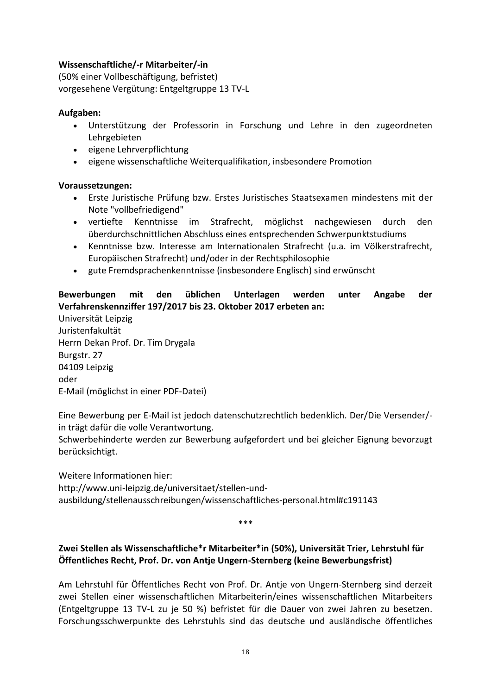# **Wissenschaftliche/-r Mitarbeiter/-in**

(50% einer Vollbeschäftigung, befristet) vorgesehene Vergütung: Entgeltgruppe 13 TV-L

# **Aufgaben:**

- Unterstützung der Professorin in Forschung und Lehre in den zugeordneten Lehrgebieten
- eigene Lehrverpflichtung
- eigene wissenschaftliche Weiterqualifikation, insbesondere Promotion

# **Voraussetzungen:**

- Erste Juristische Prüfung bzw. Erstes Juristisches Staatsexamen mindestens mit der Note "vollbefriedigend"
- vertiefte Kenntnisse im Strafrecht, möglichst nachgewiesen durch den überdurchschnittlichen Abschluss eines entsprechenden Schwerpunktstudiums
- Kenntnisse bzw. Interesse am Internationalen Strafrecht (u.a. im Völkerstrafrecht, Europäischen Strafrecht) und/oder in der Rechtsphilosophie
- gute Fremdsprachenkenntnisse (insbesondere Englisch) sind erwünscht

# **Bewerbungen mit den üblichen Unterlagen werden unter Angabe der Verfahrenskennziffer 197/2017 bis 23. Oktober 2017 erbeten an:**

Universität Leipzig Juristenfakultät Herrn Dekan Prof. Dr. Tim Drygala Burgstr. 27 04109 Leipzig oder E-Mail (möglichst in einer PDF-Datei)

Eine Bewerbung per E-Mail ist jedoch datenschutzrechtlich bedenklich. Der/Die Versender/ in trägt dafür die volle Verantwortung.

Schwerbehinderte werden zur Bewerbung aufgefordert und bei gleicher Eignung bevorzugt berücksichtigt.

Weitere Informationen hier: http://www.uni-leipzig.de/universitaet/stellen-undausbildung/stellenausschreibungen/wissenschaftliches-personal.html#c191143

\*\*\*

# <span id="page-19-0"></span>**Zwei Stellen als Wissenschaftliche\*r Mitarbeiter\*in (50%), Universität Trier, Lehrstuhl für Öffentliches Recht, Prof. Dr. von Antje Ungern-Sternberg (keine Bewerbungsfrist)**

Am Lehrstuhl für Öffentliches Recht von Prof. Dr. Antje von Ungern-Sternberg sind derzeit zwei Stellen einer wissenschaftlichen Mitarbeiterin/eines wissenschaftlichen Mitarbeiters (Entgeltgruppe 13 TV-L zu je 50 %) befristet für die Dauer von zwei Jahren zu besetzen. Forschungsschwerpunkte des Lehrstuhls sind das deutsche und ausländische öffentliches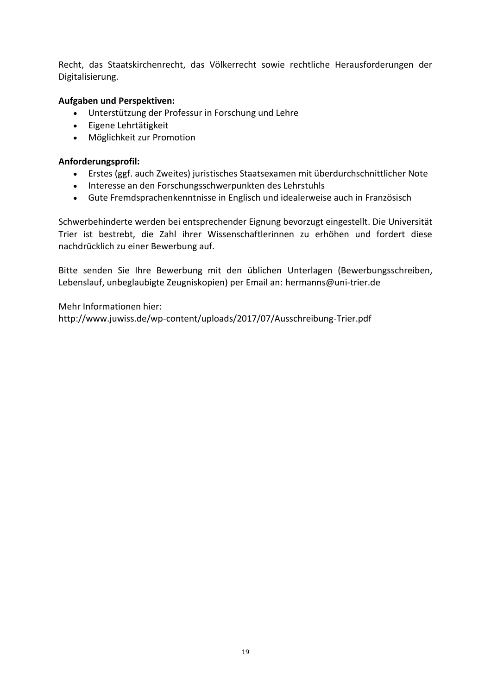Recht, das Staatskirchenrecht, das Völkerrecht sowie rechtliche Herausforderungen der Digitalisierung.

# **Aufgaben und Perspektiven:**

- Unterstützung der Professur in Forschung und Lehre
- Eigene Lehrtätigkeit
- Möglichkeit zur Promotion

# **Anforderungsprofil:**

- Erstes (ggf. auch Zweites) juristisches Staatsexamen mit überdurchschnittlicher Note
- Interesse an den Forschungsschwerpunkten des Lehrstuhls
- Gute Fremdsprachenkenntnisse in Englisch und idealerweise auch in Französisch

Schwerbehinderte werden bei entsprechender Eignung bevorzugt eingestellt. Die Universität Trier ist bestrebt, die Zahl ihrer Wissenschaftlerinnen zu erhöhen und fordert diese nachdrücklich zu einer Bewerbung auf.

Bitte senden Sie Ihre Bewerbung mit den üblichen Unterlagen (Bewerbungsschreiben, Lebenslauf, unbeglaubigte Zeugniskopien) per Email an: hermanns@uni-trier.de

Mehr Informationen hier: http://www.juwiss.de/wp-content/uploads/2017/07/Ausschreibung-Trier.pdf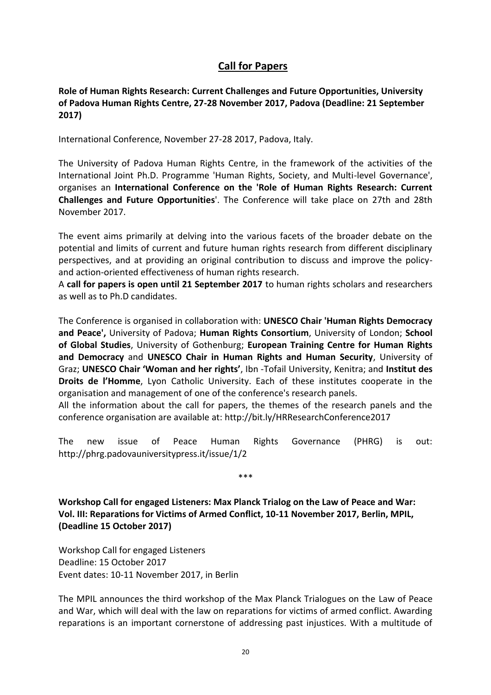# **Call for Papers**

<span id="page-21-1"></span><span id="page-21-0"></span>**Role of Human Rights Research: Current Challenges and Future Opportunities, University of Padova Human Rights Centre, 27-28 November 2017, Padova (Deadline: 21 September 2017)**

International Conference, November 27-28 2017, Padova, Italy.

The University of Padova Human Rights Centre, in the framework of the activities of the International Joint Ph.D. Programme 'Human Rights, Society, and Multi-level Governance', organises an **International Conference on the 'Role of Human Rights Research: Current Challenges and Future Opportunities**'. The Conference will take place on 27th and 28th November 2017.

The event aims primarily at delving into the various facets of the broader debate on the potential and limits of current and future human rights research from different disciplinary perspectives, and at providing an original contribution to discuss and improve the policyand action-oriented effectiveness of human rights research.

A **call for papers is open until 21 September 2017** to human rights scholars and researchers as well as to Ph.D candidates.

The Conference is organised in collaboration with: **UNESCO Chair 'Human Rights Democracy and Peace',** University of Padova; **Human Rights Consortium**, University of London; **School of Global Studies**, University of Gothenburg; **European Training Centre for Human Rights and Democracy** and **UNESCO Chair in Human Rights and Human Security**, University of Graz; **UNESCO Chair 'Woman and her rights'**, Ibn -Tofail University, Kenitra; and **Institut des Droits de l'Homme**, Lyon Catholic University. Each of these institutes cooperate in the organisation and management of one of the conference's research panels.

All the information about the call for papers, the themes of the research panels and the conference organisation are available at: http://bit.ly/HRResearchConference2017

The new issue of Peace Human Rights Governance (PHRG) is out: http://phrg.padovauniversitypress.it/issue/1/2

\*\*\*

<span id="page-21-2"></span>**Workshop Call for engaged Listeners: Max Planck Trialog on the Law of Peace and War: Vol. III: Reparations for Victims of Armed Conflict, 10-11 November 2017, Berlin, MPIL, (Deadline 15 October 2017)**

Workshop Call for engaged Listeners Deadline: 15 October 2017 Event dates: 10-11 November 2017, in Berlin

The MPIL announces the third workshop of the Max Planck Trialogues on the Law of Peace and War, which will deal with the law on reparations for victims of armed conflict. Awarding reparations is an important cornerstone of addressing past injustices. With a multitude of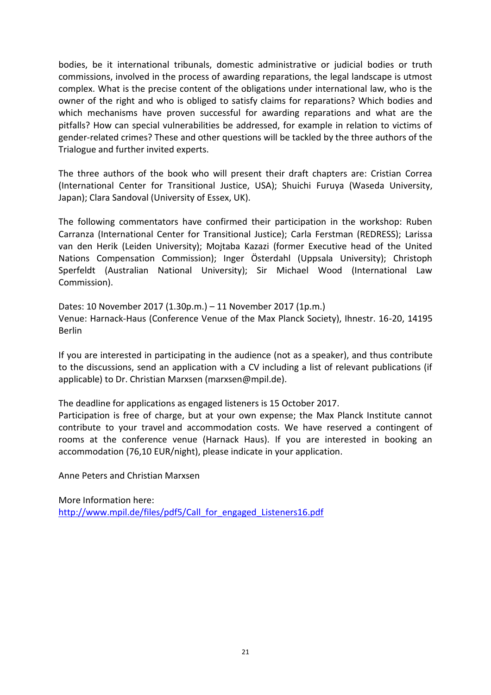bodies, be it international tribunals, domestic administrative or judicial bodies or truth commissions, involved in the process of awarding reparations, the legal landscape is utmost complex. What is the precise content of the obligations under international law, who is the owner of the right and who is obliged to satisfy claims for reparations? Which bodies and which mechanisms have proven successful for awarding reparations and what are the pitfalls? How can special vulnerabilities be addressed, for example in relation to victims of gender-related crimes? These and other questions will be tackled by the three authors of the Trialogue and further invited experts.

The three authors of the book who will present their draft chapters are: Cristian Correa (International Center for Transitional Justice, USA); Shuichi Furuya (Waseda University, Japan); Clara Sandoval (University of Essex, UK).

The following commentators have confirmed their participation in the workshop: Ruben Carranza (International Center for Transitional Justice); Carla Ferstman (REDRESS); Larissa van den Herik (Leiden University); Mojtaba Kazazi (former Executive head of the United Nations Compensation Commission); Inger Österdahl (Uppsala University); Christoph Sperfeldt (Australian National University); Sir Michael Wood (International Law Commission).

Dates: 10 November 2017 (1.30p.m.) – 11 November 2017 (1p.m.) Venue: Harnack-Haus (Conference Venue of the Max Planck Society), Ihnestr. 16-20, 14195 Berlin

If you are interested in participating in the audience (not as a speaker), and thus contribute to the discussions, send an application with a CV including a list of relevant publications (if applicable) to Dr. Christian Marxsen (marxsen@mpil.de).

The deadline for applications as engaged listeners is 15 October 2017. Participation is free of charge, but at your own expense; the Max Planck Institute cannot contribute to your travel and accommodation costs. We have reserved a contingent of rooms at the conference venue (Harnack Haus). If you are interested in booking an accommodation (76,10 EUR/night), please indicate in your application.

Anne Peters and Christian Marxsen

More Information here: http://www.mpil.de/files/pdf5/Call for engaged Listeners16.pdf